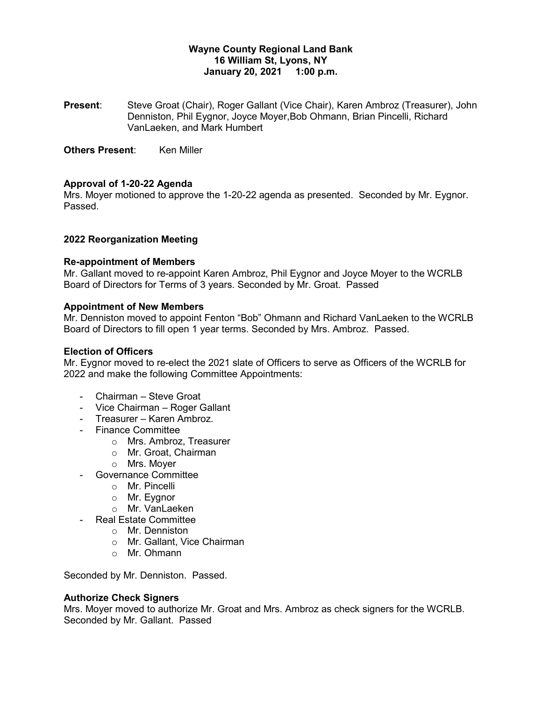# **Wayne County Regional Land Bank 16 William St, Lyons, NY January 20, 2021 1:00 p.m.**

**Present**: Steve Groat (Chair), Roger Gallant (Vice Chair), Karen Ambroz (Treasurer), John Denniston, Phil Eygnor, Joyce Moyer,Bob Ohmann, Brian Pincelli, Richard VanLaeken, and Mark Humbert

**Others Present:** Ken Miller

# **Approval of 1-20-22 Agenda**

Mrs. Moyer motioned to approve the 1-20-22 agenda as presented. Seconded by Mr. Eygnor. Passed.

## **2022 Reorganization Meeting**

#### **Re-appointment of Members**

Mr. Gallant moved to re-appoint Karen Ambroz, Phil Eygnor and Joyce Moyer to the WCRLB Board of Directors for Terms of 3 years. Seconded by Mr. Groat. Passed

#### **Appointment of New Members**

Mr. Denniston moved to appoint Fenton "Bob" Ohmann and Richard VanLaeken to the WCRLB Board of Directors to fill open 1 year terms. Seconded by Mrs. Ambroz. Passed.

#### **Election of Officers**

Mr. Eygnor moved to re-elect the 2021 slate of Officers to serve as Officers of the WCRLB for 2022 and make the following Committee Appointments:

- Chairman Steve Groat
- Vice Chairman Roger Gallant
- Treasurer Karen Ambroz.
- Finance Committee
	- o Mrs. Ambroz, Treasurer
	- o Mr. Groat, Chairman
	- o Mrs. Moyer
- Governance Committee
	- o Mr. Pincelli
	- o Mr. Eygnor
	- o Mr. VanLaeken
- Real Estate Committee
	- o Mr. Denniston
	- o Mr. Gallant, Vice Chairman
	- o Mr. Ohmann

Seconded by Mr. Denniston. Passed.

#### **Authorize Check Signers**

Mrs. Moyer moved to authorize Mr. Groat and Mrs. Ambroz as check signers for the WCRLB. Seconded by Mr. Gallant. Passed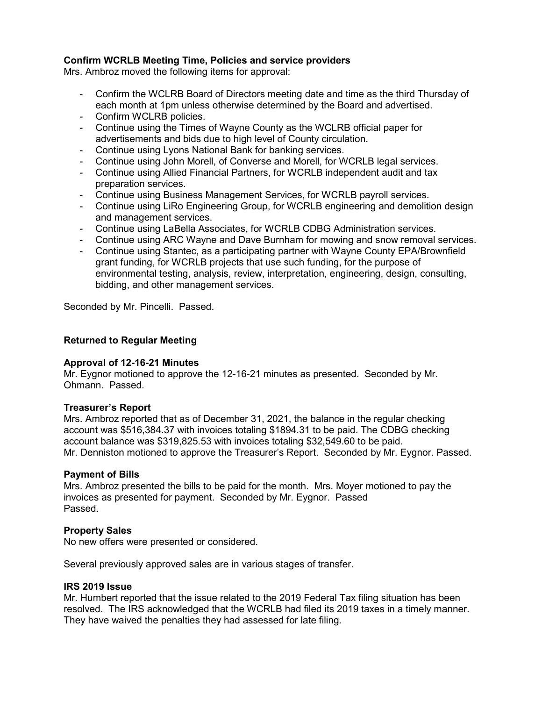# **Confirm WCRLB Meeting Time, Policies and service providers**

Mrs. Ambroz moved the following items for approval:

- Confirm the WCLRB Board of Directors meeting date and time as the third Thursday of each month at 1pm unless otherwise determined by the Board and advertised.
- Confirm WCLRB policies.
- Continue using the Times of Wayne County as the WCLRB official paper for advertisements and bids due to high level of County circulation.
- Continue using Lyons National Bank for banking services.
- Continue using John Morell, of Converse and Morell, for WCRLB legal services.
- Continue using Allied Financial Partners, for WCRLB independent audit and tax preparation services.
- Continue using Business Management Services, for WCRLB payroll services.
- Continue using LiRo Engineering Group, for WCRLB engineering and demolition design and management services.
- Continue using LaBella Associates, for WCRLB CDBG Administration services.
- Continue using ARC Wayne and Dave Burnham for mowing and snow removal services.
- Continue using Stantec, as a participating partner with Wayne County EPA/Brownfield grant funding, for WCRLB projects that use such funding, for the purpose of environmental testing, analysis, review, interpretation, engineering, design, consulting, bidding, and other management services.

Seconded by Mr. Pincelli. Passed.

# **Returned to Regular Meeting**

## **Approval of 12-16-21 Minutes**

Mr. Eygnor motioned to approve the 12-16-21 minutes as presented. Seconded by Mr. Ohmann. Passed.

## **Treasurer's Report**

Mrs. Ambroz reported that as of December 31, 2021, the balance in the regular checking account was \$516,384.37 with invoices totaling \$1894.31 to be paid. The CDBG checking account balance was \$319,825.53 with invoices totaling \$32,549.60 to be paid. Mr. Denniston motioned to approve the Treasurer's Report. Seconded by Mr. Eygnor. Passed.

## **Payment of Bills**

Mrs. Ambroz presented the bills to be paid for the month. Mrs. Moyer motioned to pay the invoices as presented for payment. Seconded by Mr. Eygnor. Passed Passed.

## **Property Sales**

No new offers were presented or considered.

Several previously approved sales are in various stages of transfer.

## **IRS 2019 Issue**

Mr. Humbert reported that the issue related to the 2019 Federal Tax filing situation has been resolved. The IRS acknowledged that the WCRLB had filed its 2019 taxes in a timely manner. They have waived the penalties they had assessed for late filing.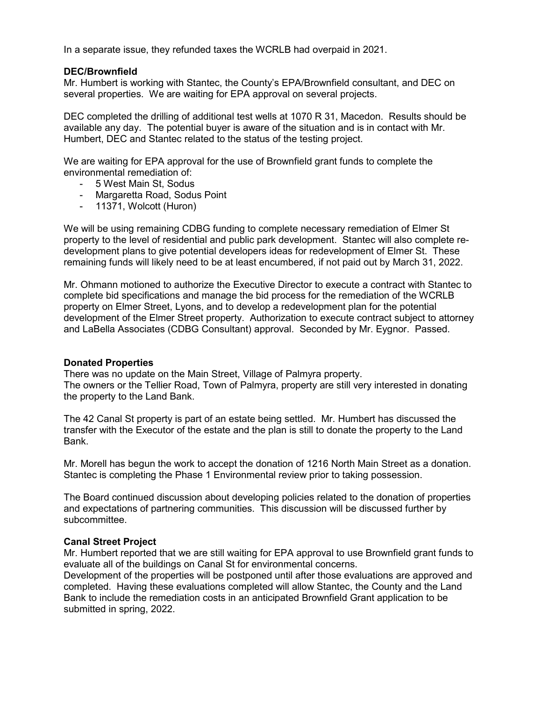In a separate issue, they refunded taxes the WCRLB had overpaid in 2021.

# **DEC/Brownfield**

Mr. Humbert is working with Stantec, the County's EPA/Brownfield consultant, and DEC on several properties. We are waiting for EPA approval on several projects.

DEC completed the drilling of additional test wells at 1070 R 31, Macedon. Results should be available any day. The potential buyer is aware of the situation and is in contact with Mr. Humbert, DEC and Stantec related to the status of the testing project.

We are waiting for EPA approval for the use of Brownfield grant funds to complete the environmental remediation of:

- 5 West Main St, Sodus
- Margaretta Road, Sodus Point
- 11371, Wolcott (Huron)

We will be using remaining CDBG funding to complete necessary remediation of Elmer St property to the level of residential and public park development. Stantec will also complete redevelopment plans to give potential developers ideas for redevelopment of Elmer St. These remaining funds will likely need to be at least encumbered, if not paid out by March 31, 2022.

Mr. Ohmann motioned to authorize the Executive Director to execute a contract with Stantec to complete bid specifications and manage the bid process for the remediation of the WCRLB property on Elmer Street, Lyons, and to develop a redevelopment plan for the potential development of the Elmer Street property. Authorization to execute contract subject to attorney and LaBella Associates (CDBG Consultant) approval. Seconded by Mr. Eygnor. Passed.

## **Donated Properties**

There was no update on the Main Street, Village of Palmyra property. The owners or the Tellier Road, Town of Palmyra, property are still very interested in donating the property to the Land Bank.

The 42 Canal St property is part of an estate being settled. Mr. Humbert has discussed the transfer with the Executor of the estate and the plan is still to donate the property to the Land Bank.

Mr. Morell has begun the work to accept the donation of 1216 North Main Street as a donation. Stantec is completing the Phase 1 Environmental review prior to taking possession.

The Board continued discussion about developing policies related to the donation of properties and expectations of partnering communities. This discussion will be discussed further by subcommittee.

## **Canal Street Project**

Mr. Humbert reported that we are still waiting for EPA approval to use Brownfield grant funds to evaluate all of the buildings on Canal St for environmental concerns.

Development of the properties will be postponed until after those evaluations are approved and completed. Having these evaluations completed will allow Stantec, the County and the Land Bank to include the remediation costs in an anticipated Brownfield Grant application to be submitted in spring, 2022.